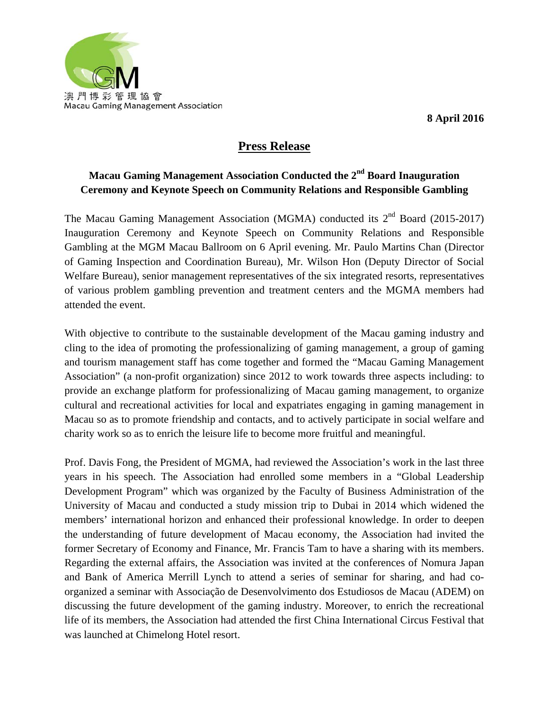

**8 April 2016** 

## **Press Release**

## **Macau Gaming Management Association Conducted the 2nd Board Inauguration Ceremony and Keynote Speech on Community Relations and Responsible Gambling**

The Macau Gaming Management Association (MGMA) conducted its  $2<sup>nd</sup>$  Board (2015-2017) Inauguration Ceremony and Keynote Speech on Community Relations and Responsible Gambling at the MGM Macau Ballroom on 6 April evening. Mr. Paulo Martins Chan (Director of Gaming Inspection and Coordination Bureau), Mr. Wilson Hon (Deputy Director of Social Welfare Bureau), senior management representatives of the six integrated resorts, representatives of various problem gambling prevention and treatment centers and the MGMA members had attended the event.

With objective to contribute to the sustainable development of the Macau gaming industry and cling to the idea of promoting the professionalizing of gaming management, a group of gaming and tourism management staff has come together and formed the "Macau Gaming Management Association" (a non-profit organization) since 2012 to work towards three aspects including: to provide an exchange platform for professionalizing of Macau gaming management, to organize cultural and recreational activities for local and expatriates engaging in gaming management in Macau so as to promote friendship and contacts, and to actively participate in social welfare and charity work so as to enrich the leisure life to become more fruitful and meaningful.

Prof. Davis Fong, the President of MGMA, had reviewed the Association's work in the last three years in his speech. The Association had enrolled some members in a "Global Leadership Development Program" which was organized by the Faculty of Business Administration of the University of Macau and conducted a study mission trip to Dubai in 2014 which widened the members' international horizon and enhanced their professional knowledge. In order to deepen the understanding of future development of Macau economy, the Association had invited the former Secretary of Economy and Finance, Mr. Francis Tam to have a sharing with its members. Regarding the external affairs, the Association was invited at the conferences of Nomura Japan and Bank of America Merrill Lynch to attend a series of seminar for sharing, and had coorganized a seminar with Associação de Desenvolvimento dos Estudiosos de Macau (ADEM) on discussing the future development of the gaming industry. Moreover, to enrich the recreational life of its members, the Association had attended the first China International Circus Festival that was launched at Chimelong Hotel resort.